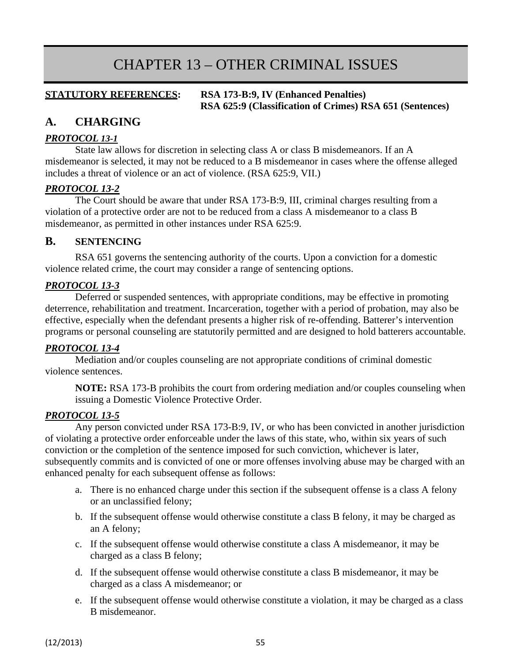# CHAPTER 13 – OTHER CRIMINAL ISSUES

#### **STATUTORY REFERENCES: RSA 173-B:9, IV (Enhanced Penalties) RSA 625:9 (Classification of Crimes) RSA 651 (Sentences)**

# **A. CHARGING**

#### *PROTOCOL 13-1*

State law allows for discretion in selecting class A or class B misdemeanors. If an A misdemeanor is selected, it may not be reduced to a B misdemeanor in cases where the offense alleged includes a threat of violence or an act of violence. (RSA 625:9, VII.)

# *PROTOCOL 13-2*

The Court should be aware that under RSA 173-B:9, III, criminal charges resulting from a violation of a protective order are not to be reduced from a class A misdemeanor to a class B misdemeanor, as permitted in other instances under RSA 625:9.

# **B. SENTENCING**

RSA 651 governs the sentencing authority of the courts. Upon a conviction for a domestic violence related crime, the court may consider a range of sentencing options.

# *PROTOCOL 13-3*

Deferred or suspended sentences, with appropriate conditions, may be effective in promoting deterrence, rehabilitation and treatment. Incarceration, together with a period of probation, may also be effective, especially when the defendant presents a higher risk of re-offending. Batterer's intervention programs or personal counseling are statutorily permitted and are designed to hold batterers accountable.

#### *PROTOCOL 13-4*

Mediation and/or couples counseling are not appropriate conditions of criminal domestic violence sentences.

**NOTE:** RSA 173-B prohibits the court from ordering mediation and/or couples counseling when issuing a Domestic Violence Protective Order.

#### *PROTOCOL 13-5*

Any person convicted under RSA 173-B:9, IV, or who has been convicted in another jurisdiction of violating a protective order enforceable under the laws of this state, who, within six years of such conviction or the completion of the sentence imposed for such conviction, whichever is later, subsequently commits and is convicted of one or more offenses involving abuse may be charged with an enhanced penalty for each subsequent offense as follows:

- a. There is no enhanced charge under this section if the subsequent offense is a class A felony or an unclassified felony;
- b. If the subsequent offense would otherwise constitute a class B felony, it may be charged as an A felony;
- c. If the subsequent offense would otherwise constitute a class A misdemeanor, it may be charged as a class B felony;
- d. If the subsequent offense would otherwise constitute a class B misdemeanor, it may be charged as a class A misdemeanor; or
- e. If the subsequent offense would otherwise constitute a violation, it may be charged as a class B misdemeanor.